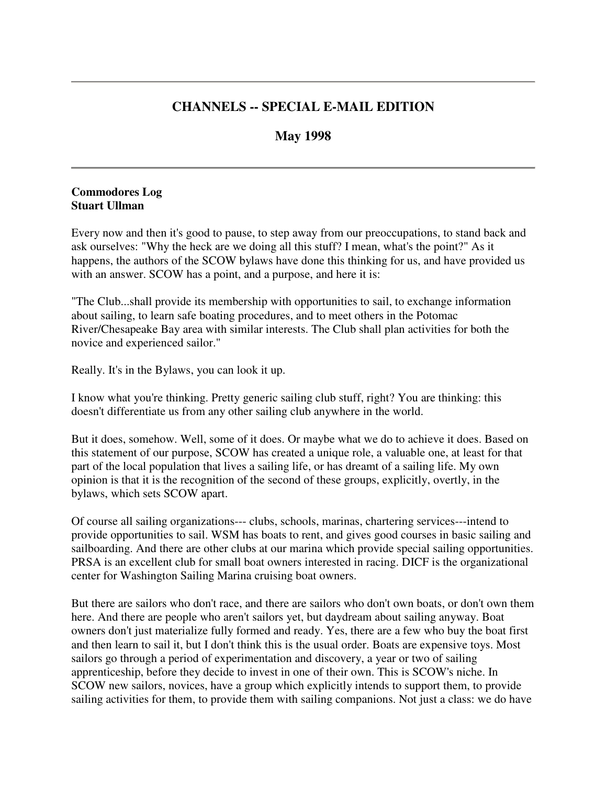# **CHANNELS -- SPECIAL E-MAIL EDITION**

# **May 1998**

### **Commodores Log Stuart Ullman**

Every now and then it's good to pause, to step away from our preoccupations, to stand back and ask ourselves: "Why the heck are we doing all this stuff? I mean, what's the point?" As it happens, the authors of the SCOW bylaws have done this thinking for us, and have provided us with an answer. SCOW has a point, and a purpose, and here it is:

"The Club...shall provide its membership with opportunities to sail, to exchange information about sailing, to learn safe boating procedures, and to meet others in the Potomac River/Chesapeake Bay area with similar interests. The Club shall plan activities for both the novice and experienced sailor."

Really. It's in the Bylaws, you can look it up.

I know what you're thinking. Pretty generic sailing club stuff, right? You are thinking: this doesn't differentiate us from any other sailing club anywhere in the world.

But it does, somehow. Well, some of it does. Or maybe what we do to achieve it does. Based on this statement of our purpose, SCOW has created a unique role, a valuable one, at least for that part of the local population that lives a sailing life, or has dreamt of a sailing life. My own opinion is that it is the recognition of the second of these groups, explicitly, overtly, in the bylaws, which sets SCOW apart.

Of course all sailing organizations--- clubs, schools, marinas, chartering services---intend to provide opportunities to sail. WSM has boats to rent, and gives good courses in basic sailing and sailboarding. And there are other clubs at our marina which provide special sailing opportunities. PRSA is an excellent club for small boat owners interested in racing. DICF is the organizational center for Washington Sailing Marina cruising boat owners.

But there are sailors who don't race, and there are sailors who don't own boats, or don't own them here. And there are people who aren't sailors yet, but daydream about sailing anyway. Boat owners don't just materialize fully formed and ready. Yes, there are a few who buy the boat first and then learn to sail it, but I don't think this is the usual order. Boats are expensive toys. Most sailors go through a period of experimentation and discovery, a year or two of sailing apprenticeship, before they decide to invest in one of their own. This is SCOW's niche. In SCOW new sailors, novices, have a group which explicitly intends to support them, to provide sailing activities for them, to provide them with sailing companions. Not just a class: we do have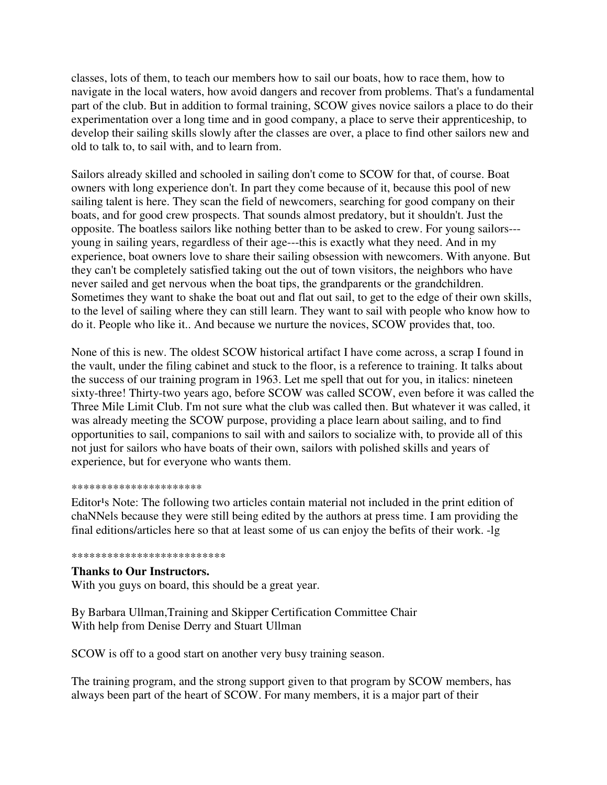classes, lots of them, to teach our members how to sail our boats, how to race them, how to navigate in the local waters, how avoid dangers and recover from problems. That's a fundamental part of the club. But in addition to formal training, SCOW gives novice sailors a place to do their experimentation over a long time and in good company, a place to serve their apprenticeship, to develop their sailing skills slowly after the classes are over, a place to find other sailors new and old to talk to, to sail with, and to learn from.

Sailors already skilled and schooled in sailing don't come to SCOW for that, of course. Boat owners with long experience don't. In part they come because of it, because this pool of new sailing talent is here. They scan the field of newcomers, searching for good company on their boats, and for good crew prospects. That sounds almost predatory, but it shouldn't. Just the opposite. The boatless sailors like nothing better than to be asked to crew. For young sailors-- young in sailing years, regardless of their age---this is exactly what they need. And in my experience, boat owners love to share their sailing obsession with newcomers. With anyone. But they can't be completely satisfied taking out the out of town visitors, the neighbors who have never sailed and get nervous when the boat tips, the grandparents or the grandchildren. Sometimes they want to shake the boat out and flat out sail, to get to the edge of their own skills, to the level of sailing where they can still learn. They want to sail with people who know how to do it. People who like it.. And because we nurture the novices, SCOW provides that, too.

None of this is new. The oldest SCOW historical artifact I have come across, a scrap I found in the vault, under the filing cabinet and stuck to the floor, is a reference to training. It talks about the success of our training program in 1963. Let me spell that out for you, in italics: nineteen sixty-three! Thirty-two years ago, before SCOW was called SCOW, even before it was called the Three Mile Limit Club. I'm not sure what the club was called then. But whatever it was called, it was already meeting the SCOW purpose, providing a place learn about sailing, and to find opportunities to sail, companions to sail with and sailors to socialize with, to provide all of this not just for sailors who have boats of their own, sailors with polished skills and years of experience, but for everyone who wants them.

#### \*\*\*\*\*\*\*\*\*\*\*\*\*\*\*\*\*\*\*\*\*\*

Editor<sup>1</sup>s Note: The following two articles contain material not included in the print edition of chaNNels because they were still being edited by the authors at press time. I am providing the final editions/articles here so that at least some of us can enjoy the befits of their work. -lg

#### \*\*\*\*\*\*\*\*\*\*\*\*\*\*\*\*\*\*\*\*\*\*\*\*\*\*

### **Thanks to Our Instructors.**

With you guys on board, this should be a great year.

By Barbara Ullman,Training and Skipper Certification Committee Chair With help from Denise Derry and Stuart Ullman

SCOW is off to a good start on another very busy training season.

The training program, and the strong support given to that program by SCOW members, has always been part of the heart of SCOW. For many members, it is a major part of their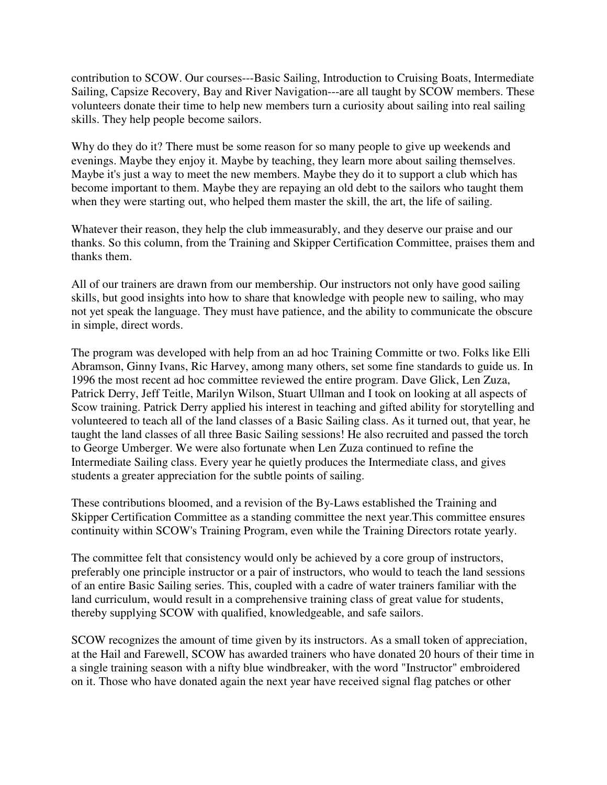contribution to SCOW. Our courses---Basic Sailing, Introduction to Cruising Boats, Intermediate Sailing, Capsize Recovery, Bay and River Navigation---are all taught by SCOW members. These volunteers donate their time to help new members turn a curiosity about sailing into real sailing skills. They help people become sailors.

Why do they do it? There must be some reason for so many people to give up weekends and evenings. Maybe they enjoy it. Maybe by teaching, they learn more about sailing themselves. Maybe it's just a way to meet the new members. Maybe they do it to support a club which has become important to them. Maybe they are repaying an old debt to the sailors who taught them when they were starting out, who helped them master the skill, the art, the life of sailing.

Whatever their reason, they help the club immeasurably, and they deserve our praise and our thanks. So this column, from the Training and Skipper Certification Committee, praises them and thanks them.

All of our trainers are drawn from our membership. Our instructors not only have good sailing skills, but good insights into how to share that knowledge with people new to sailing, who may not yet speak the language. They must have patience, and the ability to communicate the obscure in simple, direct words.

The program was developed with help from an ad hoc Training Committe or two. Folks like Elli Abramson, Ginny Ivans, Ric Harvey, among many others, set some fine standards to guide us. In 1996 the most recent ad hoc committee reviewed the entire program. Dave Glick, Len Zuza, Patrick Derry, Jeff Teitle, Marilyn Wilson, Stuart Ullman and I took on looking at all aspects of Scow training. Patrick Derry applied his interest in teaching and gifted ability for storytelling and volunteered to teach all of the land classes of a Basic Sailing class. As it turned out, that year, he taught the land classes of all three Basic Sailing sessions! He also recruited and passed the torch to George Umberger. We were also fortunate when Len Zuza continued to refine the Intermediate Sailing class. Every year he quietly produces the Intermediate class, and gives students a greater appreciation for the subtle points of sailing.

These contributions bloomed, and a revision of the By-Laws established the Training and Skipper Certification Committee as a standing committee the next year.This committee ensures continuity within SCOW's Training Program, even while the Training Directors rotate yearly.

The committee felt that consistency would only be achieved by a core group of instructors, preferably one principle instructor or a pair of instructors, who would to teach the land sessions of an entire Basic Sailing series. This, coupled with a cadre of water trainers familiar with the land curriculum, would result in a comprehensive training class of great value for students, thereby supplying SCOW with qualified, knowledgeable, and safe sailors.

SCOW recognizes the amount of time given by its instructors. As a small token of appreciation, at the Hail and Farewell, SCOW has awarded trainers who have donated 20 hours of their time in a single training season with a nifty blue windbreaker, with the word "Instructor" embroidered on it. Those who have donated again the next year have received signal flag patches or other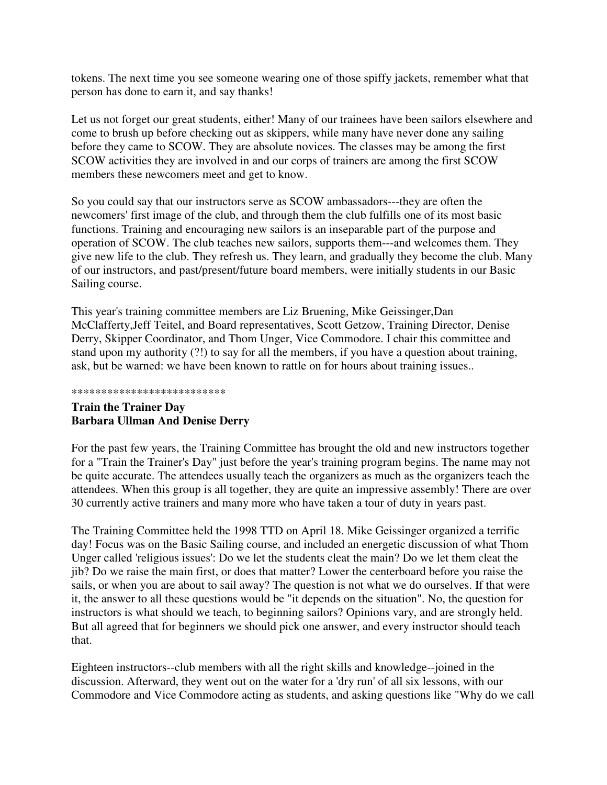tokens. The next time you see someone wearing one of those spiffy jackets, remember what that person has done to earn it, and say thanks!

Let us not forget our great students, either! Many of our trainees have been sailors elsewhere and come to brush up before checking out as skippers, while many have never done any sailing before they came to SCOW. They are absolute novices. The classes may be among the first SCOW activities they are involved in and our corps of trainers are among the first SCOW members these newcomers meet and get to know.

So you could say that our instructors serve as SCOW ambassadors---they are often the newcomers' first image of the club, and through them the club fulfills one of its most basic functions. Training and encouraging new sailors is an inseparable part of the purpose and operation of SCOW. The club teaches new sailors, supports them---and welcomes them. They give new life to the club. They refresh us. They learn, and gradually they become the club. Many of our instructors, and past/present/future board members, were initially students in our Basic Sailing course.

This year's training committee members are Liz Bruening, Mike Geissinger,Dan McClafferty,Jeff Teitel, and Board representatives, Scott Getzow, Training Director, Denise Derry, Skipper Coordinator, and Thom Unger, Vice Commodore. I chair this committee and stand upon my authority (?!) to say for all the members, if you have a question about training, ask, but be warned: we have been known to rattle on for hours about training issues..

#### \*\*\*\*\*\*\*\*\*\*\*\*\*\*\*\*\*\*\*\*\*\*\*\*\*\*

# **Train the Trainer Day Barbara Ullman And Denise Derry**

For the past few years, the Training Committee has brought the old and new instructors together for a "Train the Trainer's Day" just before the year's training program begins. The name may not be quite accurate. The attendees usually teach the organizers as much as the organizers teach the attendees. When this group is all together, they are quite an impressive assembly! There are over 30 currently active trainers and many more who have taken a tour of duty in years past.

The Training Committee held the 1998 TTD on April 18. Mike Geissinger organized a terrific day! Focus was on the Basic Sailing course, and included an energetic discussion of what Thom Unger called 'religious issues': Do we let the students cleat the main? Do we let them cleat the jib? Do we raise the main first, or does that matter? Lower the centerboard before you raise the sails, or when you are about to sail away? The question is not what we do ourselves. If that were it, the answer to all these questions would be "it depends on the situation". No, the question for instructors is what should we teach, to beginning sailors? Opinions vary, and are strongly held. But all agreed that for beginners we should pick one answer, and every instructor should teach that.

Eighteen instructors--club members with all the right skills and knowledge--joined in the discussion. Afterward, they went out on the water for a 'dry run' of all six lessons, with our Commodore and Vice Commodore acting as students, and asking questions like "Why do we call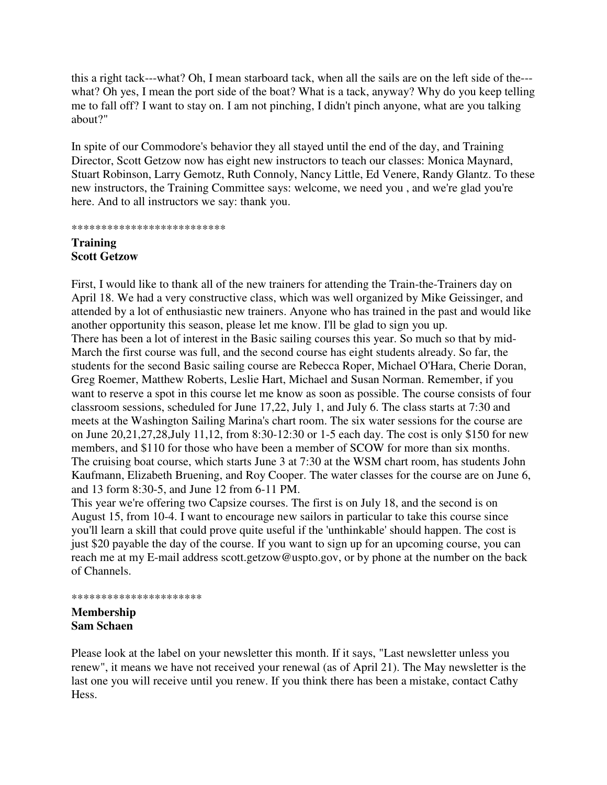this a right tack---what? Oh, I mean starboard tack, when all the sails are on the left side of the-- what? Oh yes, I mean the port side of the boat? What is a tack, anyway? Why do you keep telling me to fall off? I want to stay on. I am not pinching, I didn't pinch anyone, what are you talking about?"

In spite of our Commodore's behavior they all stayed until the end of the day, and Training Director, Scott Getzow now has eight new instructors to teach our classes: Monica Maynard, Stuart Robinson, Larry Gemotz, Ruth Connoly, Nancy Little, Ed Venere, Randy Glantz. To these new instructors, the Training Committee says: welcome, we need you , and we're glad you're here. And to all instructors we say: thank you.

#### \*\*\*\*\*\*\*\*\*\*\*\*\*\*\*\*\*\*\*\*\*\*\*\*\*\*

## **Training Scott Getzow**

First, I would like to thank all of the new trainers for attending the Train-the-Trainers day on April 18. We had a very constructive class, which was well organized by Mike Geissinger, and attended by a lot of enthusiastic new trainers. Anyone who has trained in the past and would like another opportunity this season, please let me know. I'll be glad to sign you up. There has been a lot of interest in the Basic sailing courses this year. So much so that by mid-March the first course was full, and the second course has eight students already. So far, the students for the second Basic sailing course are Rebecca Roper, Michael O'Hara, Cherie Doran, Greg Roemer, Matthew Roberts, Leslie Hart, Michael and Susan Norman. Remember, if you want to reserve a spot in this course let me know as soon as possible. The course consists of four classroom sessions, scheduled for June 17,22, July 1, and July 6. The class starts at 7:30 and meets at the Washington Sailing Marina's chart room. The six water sessions for the course are on June 20,21,27,28,July 11,12, from 8:30-12:30 or 1-5 each day. The cost is only \$150 for new members, and \$110 for those who have been a member of SCOW for more than six months. The cruising boat course, which starts June 3 at 7:30 at the WSM chart room, has students John Kaufmann, Elizabeth Bruening, and Roy Cooper. The water classes for the course are on June 6, and 13 form 8:30-5, and June 12 from 6-11 PM.

This year we're offering two Capsize courses. The first is on July 18, and the second is on August 15, from 10-4. I want to encourage new sailors in particular to take this course since you'll learn a skill that could prove quite useful if the 'unthinkable' should happen. The cost is just \$20 payable the day of the course. If you want to sign up for an upcoming course, you can reach me at my E-mail address scott.getzow@uspto.gov, or by phone at the number on the back of Channels.

### \*\*\*\*\*\*\*\*\*\*\*\*\*\*\*\*\*\*\*\*\*\*

## **Membership Sam Schaen**

Please look at the label on your newsletter this month. If it says, "Last newsletter unless you renew", it means we have not received your renewal (as of April 21). The May newsletter is the last one you will receive until you renew. If you think there has been a mistake, contact Cathy Hess.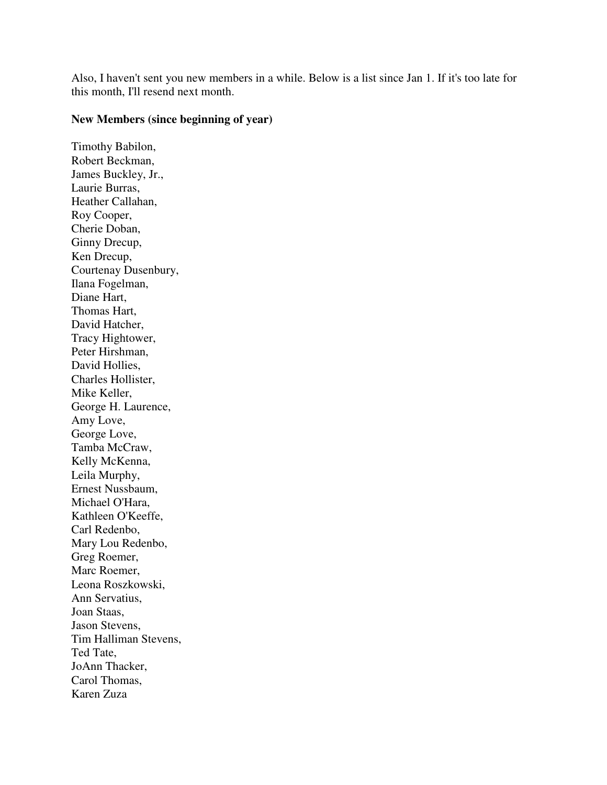Also, I haven't sent you new members in a while. Below is a list since Jan 1. If it's too late for this month, I'll resend next month.

## **New Members (since beginning of year)**

Timothy Babilon, Robert Beckman, James Buckley, Jr., Laurie Burras, Heather Callahan, Roy Cooper, Cherie Doban, Ginny Drecup, Ken Drecup, Courtenay Dusenbury, Ilana Fogelman, Diane Hart, Thomas Hart, David Hatcher, Tracy Hightower, Peter Hirshman, David Hollies, Charles Hollister, Mike Keller, George H. Laurence, Amy Love, George Love, Tamba McCraw, Kelly McKenna, Leila Murphy, Ernest Nussbaum, Michael O'Hara, Kathleen O'Keeffe, Carl Redenbo, Mary Lou Redenbo, Greg Roemer, Marc Roemer, Leona Roszkowski, Ann Servatius, Joan Staas, Jason Stevens, Tim Halliman Stevens, Ted Tate, JoAnn Thacker, Carol Thomas, Karen Zuza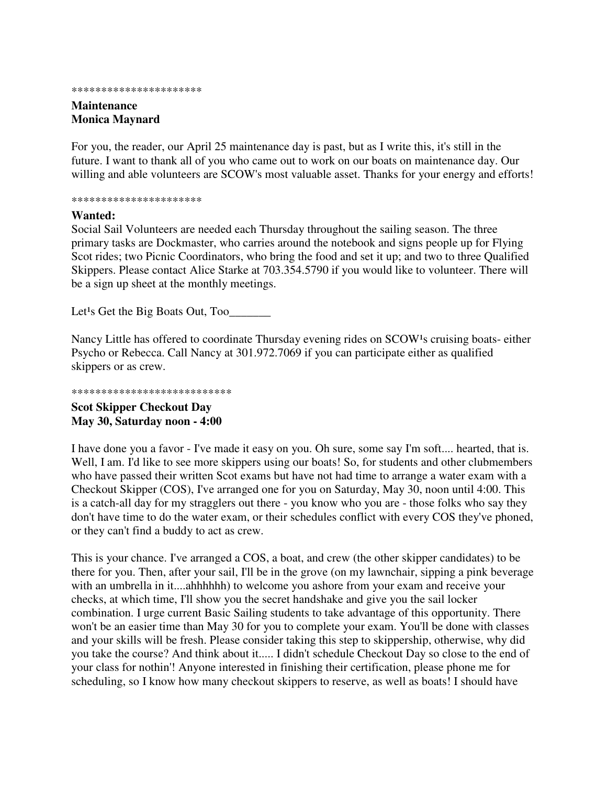#### \*\*\*\*\*\*\*\*\*\*\*\*\*\*\*\*\*\*\*\*\*\*

## **Maintenance Monica Maynard**

For you, the reader, our April 25 maintenance day is past, but as I write this, it's still in the future. I want to thank all of you who came out to work on our boats on maintenance day. Our willing and able volunteers are SCOW's most valuable asset. Thanks for your energy and efforts!

\*\*\*\*\*\*\*\*\*\*\*\*\*\*\*\*\*\*\*\*\*\*

### **Wanted:**

Social Sail Volunteers are needed each Thursday throughout the sailing season. The three primary tasks are Dockmaster, who carries around the notebook and signs people up for Flying Scot rides; two Picnic Coordinators, who bring the food and set it up; and two to three Qualified Skippers. Please contact Alice Starke at 703.354.5790 if you would like to volunteer. There will be a sign up sheet at the monthly meetings.

Let<sup>1</sup>s Get the Big Boats Out, Too

Nancy Little has offered to coordinate Thursday evening rides on SCOW<sup>1</sup>s cruising boats- either Psycho or Rebecca. Call Nancy at 301.972.7069 if you can participate either as qualified skippers or as crew.

### \*\*\*\*\*\*\*\*\*\*\*\*\*\*\*\*\*\*\*\*\*\*\*\*\*\*\*

### **Scot Skipper Checkout Day May 30, Saturday noon - 4:00**

I have done you a favor - I've made it easy on you. Oh sure, some say I'm soft.... hearted, that is. Well, I am. I'd like to see more skippers using our boats! So, for students and other clubmembers who have passed their written Scot exams but have not had time to arrange a water exam with a Checkout Skipper (COS), I've arranged one for you on Saturday, May 30, noon until 4:00. This is a catch-all day for my stragglers out there - you know who you are - those folks who say they don't have time to do the water exam, or their schedules conflict with every COS they've phoned, or they can't find a buddy to act as crew.

This is your chance. I've arranged a COS, a boat, and crew (the other skipper candidates) to be there for you. Then, after your sail, I'll be in the grove (on my lawnchair, sipping a pink beverage with an umbrella in it....ahhhhhh) to welcome you ashore from your exam and receive your checks, at which time, I'll show you the secret handshake and give you the sail locker combination. I urge current Basic Sailing students to take advantage of this opportunity. There won't be an easier time than May 30 for you to complete your exam. You'll be done with classes and your skills will be fresh. Please consider taking this step to skippership, otherwise, why did you take the course? And think about it..... I didn't schedule Checkout Day so close to the end of your class for nothin'! Anyone interested in finishing their certification, please phone me for scheduling, so I know how many checkout skippers to reserve, as well as boats! I should have